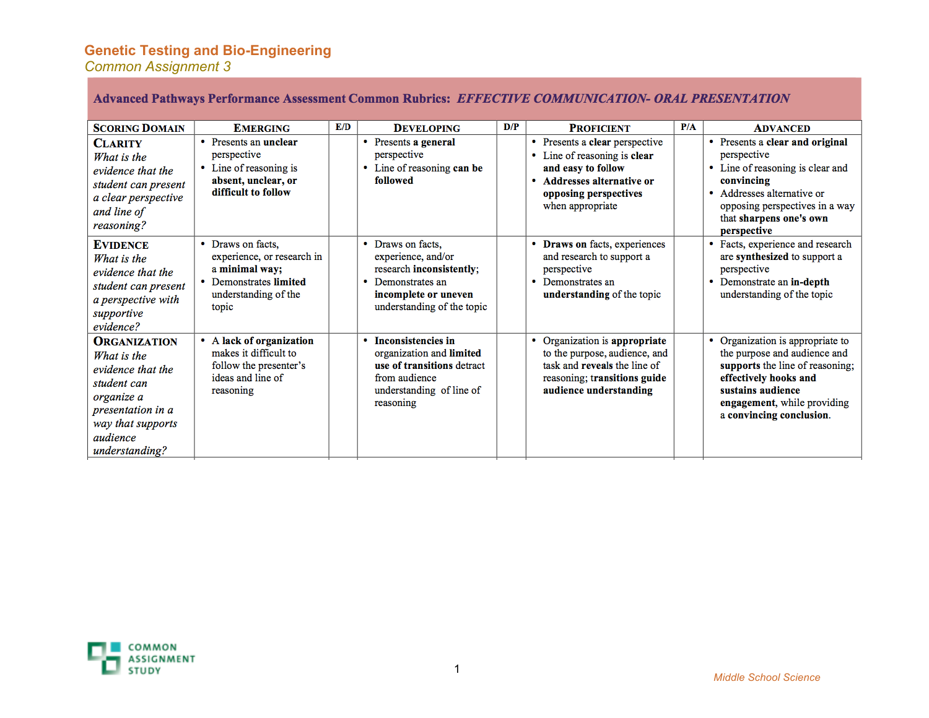### **Genetic Testing and Bio-Engineering**

*Common Assignment 3*

#### Advanced Pathways Performance Assessment Common Rubrics: EFFECTIVE COMMUNICATION- ORAL PRESENTATION

| <b>SCORING DOMAIN</b>                                                                                                                                        | <b>EMERGING</b>                                                                                                              | E/D | <b>DEVELOPING</b>                                                                                                                                  | D/P | <b>PROFICIENT</b>                                                                                                                                                  | P/A | <b>ADVANCED</b>                                                                                                                                                                                                 |
|--------------------------------------------------------------------------------------------------------------------------------------------------------------|------------------------------------------------------------------------------------------------------------------------------|-----|----------------------------------------------------------------------------------------------------------------------------------------------------|-----|--------------------------------------------------------------------------------------------------------------------------------------------------------------------|-----|-----------------------------------------------------------------------------------------------------------------------------------------------------------------------------------------------------------------|
| <b>CLARITY</b><br>What is the<br>evidence that the<br>student can present<br>a clear perspective<br>and line of<br>reasoning?                                | • Presents an unclear<br>perspective<br>• Line of reasoning is<br>absent, unclear, or<br>difficult to follow                 |     | • Presents a general<br>perspective<br>Line of reasoning can be<br>followed                                                                        |     | • Presents a clear perspective<br>Line of reasoning is clear<br>٠<br>and easy to follow<br>Addresses alternative or<br>opposing perspectives<br>when appropriate   |     | • Presents a clear and original<br>perspective<br>• Line of reasoning is clear and<br>convincing<br>• Addresses alternative or<br>opposing perspectives in a way<br>that sharpens one's own<br>perspective      |
| <b>EVIDENCE</b><br>What is the<br>evidence that the<br>student can present<br>a perspective with<br>supportive<br>evidence?                                  | • Draws on facts.<br>experience, or research in<br>a minimal way;<br>• Demonstrates limited<br>understanding of the<br>topic |     | • Draws on facts.<br>experience, and/or<br>research inconsistently;<br>Demonstrates an<br>incomplete or uneven<br>understanding of the topic       |     | Draws on facts, experiences<br>۰<br>and research to support a<br>perspective<br>Demonstrates an<br>$\bullet$<br>understanding of the topic                         |     | • Facts, experience and research<br>are synthesized to support a<br>perspective<br>Demonstrate an in-depth<br>۰<br>understanding of the topic                                                                   |
| <b>ORGANIZATION</b><br>What is the<br>evidence that the<br>student can<br>organize a<br>presentation in a<br>way that supports<br>audience<br>understanding? | • A lack of organization<br>makes it difficult to<br>follow the presenter's<br>ideas and line of<br>reasoning                |     | <b>Inconsistencies in</b><br>٠<br>organization and limited<br>use of transitions detract<br>from audience<br>understanding of line of<br>reasoning |     | Organization is appropriate<br>۰<br>to the purpose, audience, and<br>task and <b>reveals</b> the line of<br>reasoning; transitions guide<br>audience understanding |     | Organization is appropriate to<br>۰<br>the purpose and audience and<br>supports the line of reasoning;<br>effectively hooks and<br>sustains audience<br>engagement, while providing<br>a convincing conclusion. |

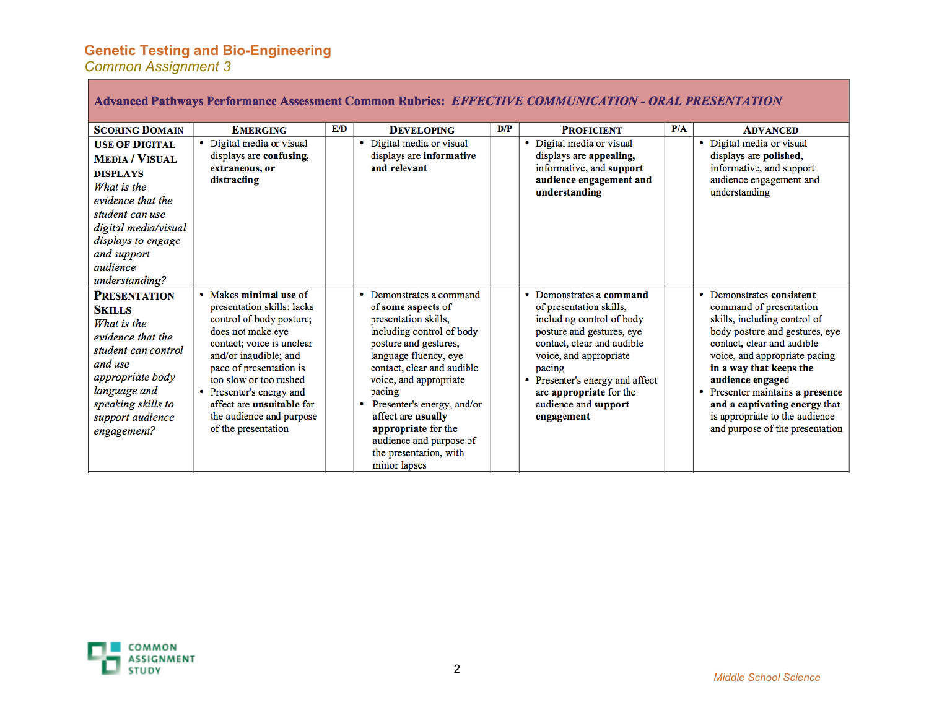### **Genetic Testing and Bio-Engineering**

*Common Assignment 3*

**Contract Contract** 

| Advanced Pathways Performance Assessment Common Rubrics: EFFECTIVE COMMUNICATION - ORAL PRESENTATION                                                                                                                |                                                                                                                                                                                                                                                                                                                                     |     |                                                                                                                                                                                                                                                                                                                                                                           |     |                                                                                                                                                                                                                                                                                                   |     |                                                                                                                                                                                                                                                                                                                                                                                      |
|---------------------------------------------------------------------------------------------------------------------------------------------------------------------------------------------------------------------|-------------------------------------------------------------------------------------------------------------------------------------------------------------------------------------------------------------------------------------------------------------------------------------------------------------------------------------|-----|---------------------------------------------------------------------------------------------------------------------------------------------------------------------------------------------------------------------------------------------------------------------------------------------------------------------------------------------------------------------------|-----|---------------------------------------------------------------------------------------------------------------------------------------------------------------------------------------------------------------------------------------------------------------------------------------------------|-----|--------------------------------------------------------------------------------------------------------------------------------------------------------------------------------------------------------------------------------------------------------------------------------------------------------------------------------------------------------------------------------------|
| <b>SCORING DOMAIN</b>                                                                                                                                                                                               | <b>EMERGING</b>                                                                                                                                                                                                                                                                                                                     | E/D | <b>DEVELOPING</b>                                                                                                                                                                                                                                                                                                                                                         | D/P | <b>PROFICIENT</b>                                                                                                                                                                                                                                                                                 | P/A | <b>ADVANCED</b>                                                                                                                                                                                                                                                                                                                                                                      |
| <b>USE OF DIGITAL</b><br><b>MEDIA / VISUAL</b><br><b>DISPLAYS</b><br>What is the<br>evidence that the<br>student can use<br>digital media/visual<br>displays to engage<br>and support<br>audience<br>understanding? | Digital media or visual<br>٠<br>displays are confusing,<br>extraneous, or<br>distracting                                                                                                                                                                                                                                            |     | • Digital media or visual<br>displays are informative<br>and relevant                                                                                                                                                                                                                                                                                                     |     | Digital media or visual<br>displays are appealing,<br>informative, and support<br>audience engagement and<br>understanding                                                                                                                                                                        |     | • Digital media or visual<br>displays are polished,<br>informative, and support<br>audience engagement and<br>understanding                                                                                                                                                                                                                                                          |
| <b>PRESENTATION</b><br><b>SKILLS</b><br>What is the<br>evidence that the<br>student can control<br>and use<br><i>appropriate body</i><br>language and<br>speaking skills to<br>support audience<br>engagement?      | • Makes minimal use of<br>presentation skills: lacks<br>control of body posture;<br>does not make eye<br>contact; voice is unclear<br>and/or inaudible; and<br>pace of presentation is<br>too slow or too rushed<br>• Presenter's energy and<br>affect are <b>unsuitable</b> for<br>the audience and purpose<br>of the presentation |     | • Demonstrates a command<br>of some aspects of<br>presentation skills,<br>including control of body<br>posture and gestures,<br>language fluency, eye<br>contact, clear and audible<br>voice, and appropriate<br>pacing<br>• Presenter's energy, and/or<br>affect are usually<br>appropriate for the<br>audience and purpose of<br>the presentation, with<br>minor lapses |     | Demonstrates a command<br>٠<br>of presentation skills,<br>including control of body<br>posture and gestures, eye<br>contact, clear and audible<br>voice, and appropriate<br>pacing<br>Presenter's energy and affect<br>$\bullet$<br>are appropriate for the<br>audience and support<br>engagement |     | Demonstrates consistent<br>۰<br>command of presentation<br>skills, including control of<br>body posture and gestures, eye<br>contact, clear and audible<br>voice, and appropriate pacing<br>in a way that keeps the<br>audience engaged<br>Presenter maintains a presence<br>٠<br>and a captivating energy that<br>is appropriate to the audience<br>and purpose of the presentation |

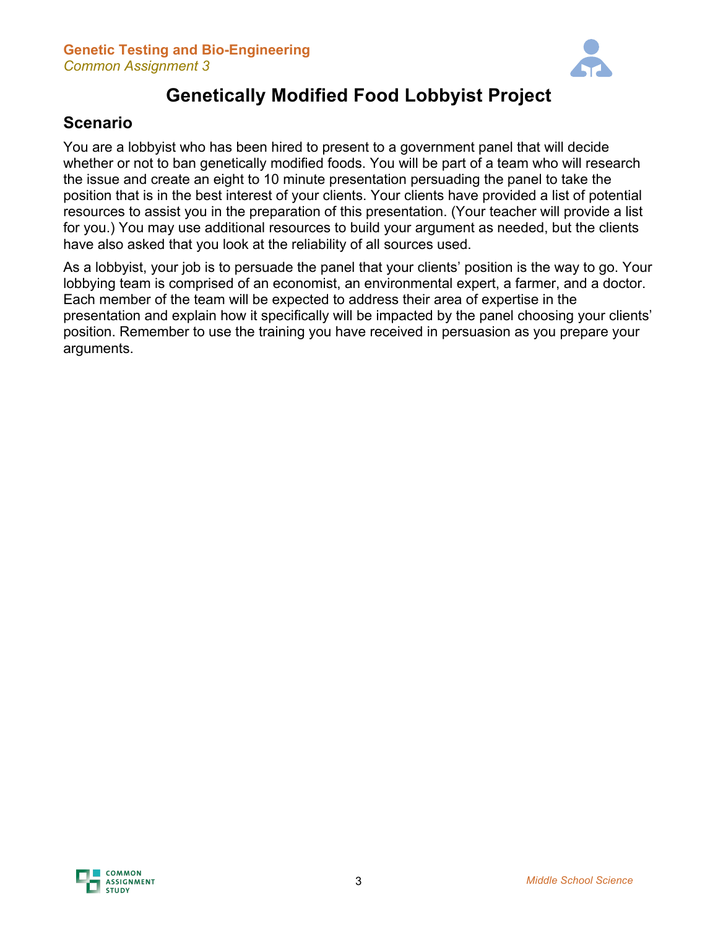

# **Genetically Modified Food Lobbyist Project**

## **Scenario**

You are a lobbyist who has been hired to present to a government panel that will decide whether or not to ban genetically modified foods. You will be part of a team who will research the issue and create an eight to 10 minute presentation persuading the panel to take the position that is in the best interest of your clients. Your clients have provided a list of potential resources to assist you in the preparation of this presentation. (Your teacher will provide a list for you.) You may use additional resources to build your argument as needed, but the clients have also asked that you look at the reliability of all sources used.

As a lobbyist, your job is to persuade the panel that your clients' position is the way to go. Your lobbying team is comprised of an economist, an environmental expert, a farmer, and a doctor. Each member of the team will be expected to address their area of expertise in the presentation and explain how it specifically will be impacted by the panel choosing your clients' position. Remember to use the training you have received in persuasion as you prepare your arguments.

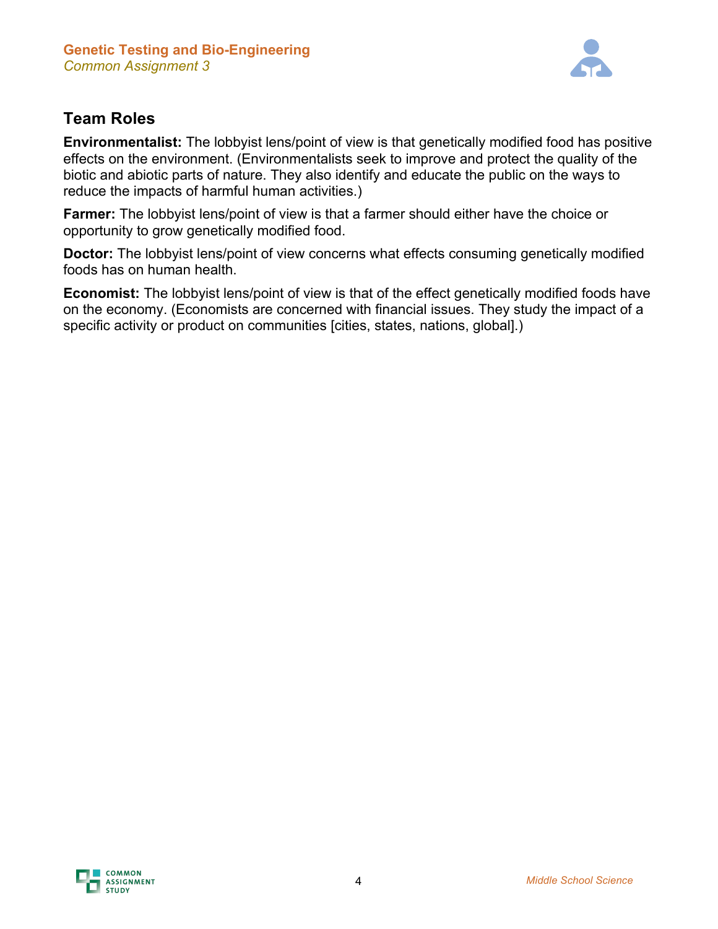

## **Team Roles**

**Environmentalist:** The lobbyist lens/point of view is that genetically modified food has positive effects on the environment. (Environmentalists seek to improve and protect the quality of the biotic and abiotic parts of nature. They also identify and educate the public on the ways to reduce the impacts of harmful human activities.)

**Farmer:** The lobbyist lens/point of view is that a farmer should either have the choice or opportunity to grow genetically modified food.

**Doctor:** The lobbyist lens/point of view concerns what effects consuming genetically modified foods has on human health.

**Economist:** The lobbyist lens/point of view is that of the effect genetically modified foods have on the economy. (Economists are concerned with financial issues. They study the impact of a specific activity or product on communities [cities, states, nations, global].)

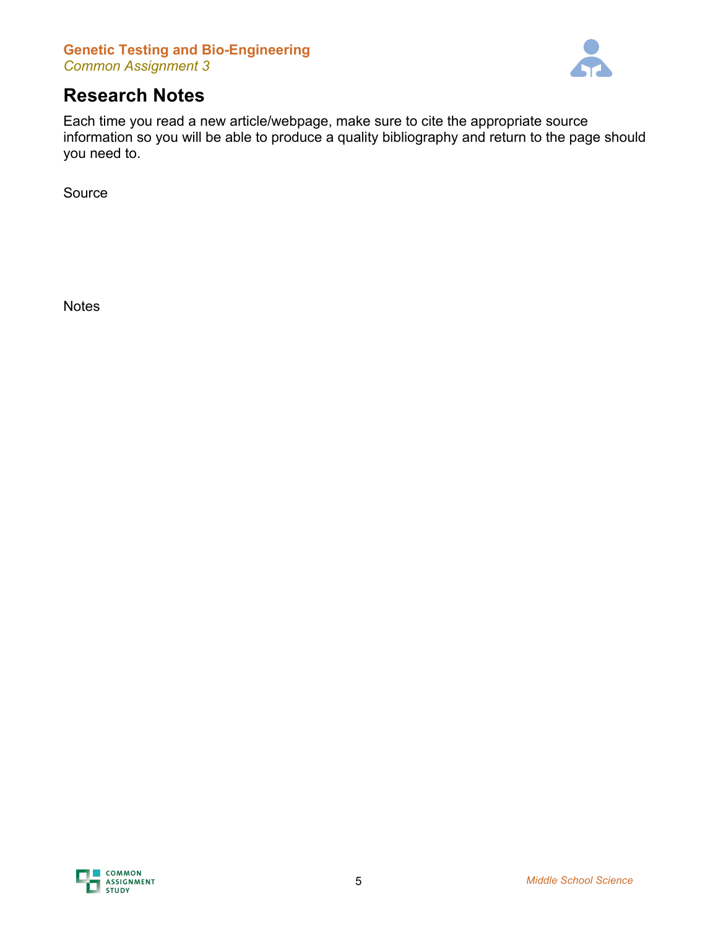### **Genetic Testing and Bio-Engineering** *Common Assignment 3*



# **Research Notes**

Each time you read a new article/webpage, make sure to cite the appropriate source information so you will be able to produce a quality bibliography and return to the page should you need to.

Source

**Notes**